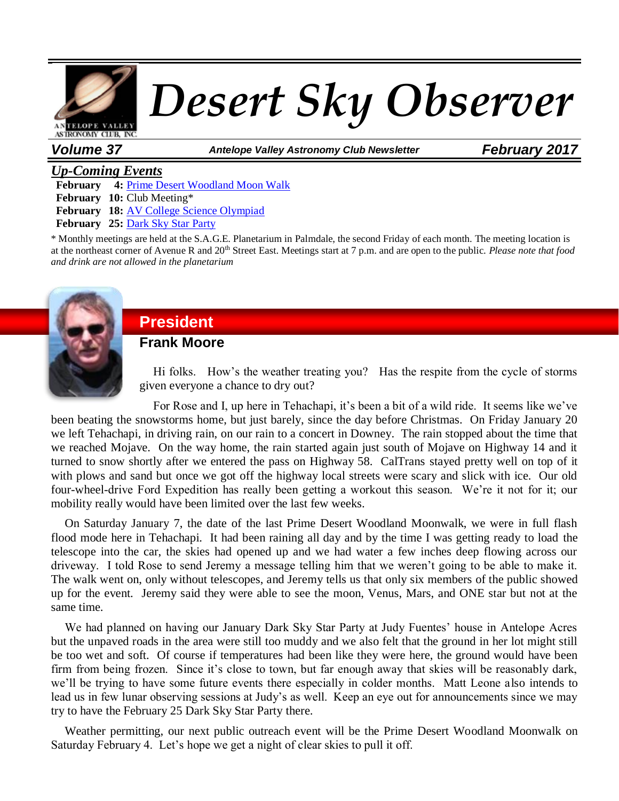

*Volume 37 Antelope Valley Astronomy Club Newsletter February 2017*

#### *Up-Coming Events*

**February 4:** [Prime Desert Woodland Moon Walk](http://avastronomyclub.org/calendar/eventdetail/78/-/prime-desert-woodland-moon-walk.html) **February 10:** Club Meeting\*

**February 18:** [AV College Science Olympiad](http://avastronomyclub.org/calendar/eventdetail/95/-/av-college-science-olympiad.html)

**February 25:** [Dark Sky Star Party](http://avastronomyclub.org/calendar/eventdetail/91/-/dark-sky-star-party.html)

\* Monthly meetings are held at the S.A.G.E. Planetarium in Palmdale, the second Friday of each month. The meeting location is at the northeast corner of Avenue R and 20th Street East. Meetings start at 7 p.m. and are open to the public. *Please note that food and drink are not allowed in the planetarium*



# **President**

**Frank Moore**

Hi folks. How's the weather treating you? Has the respite from the cycle of storms given everyone a chance to dry out?

For Rose and I, up here in Tehachapi, it's been a bit of a wild ride. It seems like we've been beating the snowstorms home, but just barely, since the day before Christmas. On Friday January 20 we left Tehachapi, in driving rain, on our rain to a concert in Downey. The rain stopped about the time that we reached Mojave. On the way home, the rain started again just south of Mojave on Highway 14 and it turned to snow shortly after we entered the pass on Highway 58. CalTrans stayed pretty well on top of it with plows and sand but once we got off the highway local streets were scary and slick with ice. Our old four-wheel-drive Ford Expedition has really been getting a workout this season. We're it not for it; our mobility really would have been limited over the last few weeks.

On Saturday January 7, the date of the last Prime Desert Woodland Moonwalk, we were in full flash flood mode here in Tehachapi. It had been raining all day and by the time I was getting ready to load the telescope into the car, the skies had opened up and we had water a few inches deep flowing across our driveway. I told Rose to send Jeremy a message telling him that we weren't going to be able to make it. The walk went on, only without telescopes, and Jeremy tells us that only six members of the public showed up for the event. Jeremy said they were able to see the moon, Venus, Mars, and ONE star but not at the same time.

We had planned on having our January Dark Sky Star Party at Judy Fuentes' house in Antelope Acres but the unpaved roads in the area were still too muddy and we also felt that the ground in her lot might still be too wet and soft. Of course if temperatures had been like they were here, the ground would have been firm from being frozen. Since it's close to town, but far enough away that skies will be reasonably dark, we'll be trying to have some future events there especially in colder months. Matt Leone also intends to lead us in few lunar observing sessions at Judy's as well. Keep an eye out for announcements since we may try to have the February 25 Dark Sky Star Party there.

Weather permitting, our next public outreach event will be the Prime Desert Woodland Moonwalk on Saturday February 4. Let's hope we get a night of clear skies to pull it off.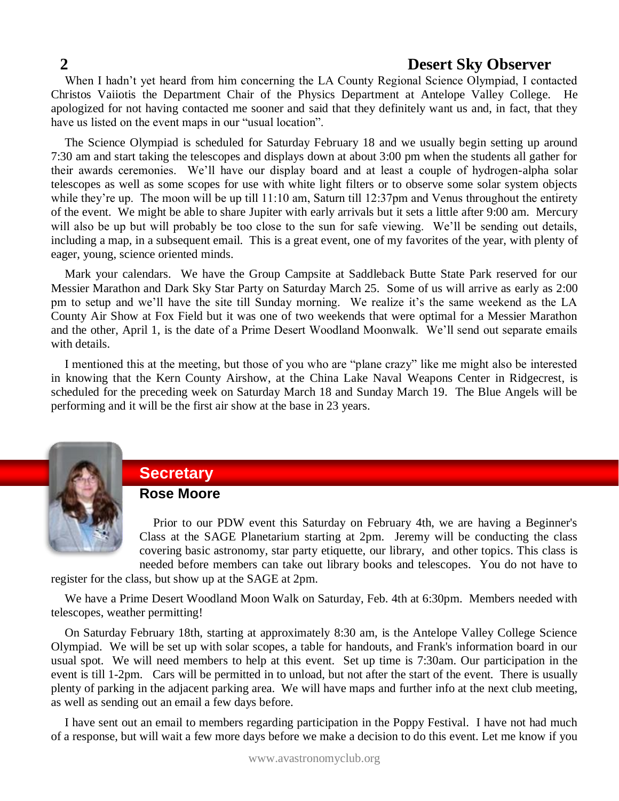When I hadn't yet heard from him concerning the LA County Regional Science Olympiad, I contacted Christos Vaiiotis the Department Chair of the Physics Department at Antelope Valley College. He apologized for not having contacted me sooner and said that they definitely want us and, in fact, that they have us listed on the event maps in our "usual location".

The Science Olympiad is scheduled for Saturday February 18 and we usually begin setting up around 7:30 am and start taking the telescopes and displays down at about 3:00 pm when the students all gather for their awards ceremonies. We'll have our display board and at least a couple of hydrogen-alpha solar telescopes as well as some scopes for use with white light filters or to observe some solar system objects while they're up. The moon will be up till 11:10 am, Saturn till 12:37pm and Venus throughout the entirety of the event. We might be able to share Jupiter with early arrivals but it sets a little after 9:00 am. Mercury will also be up but will probably be too close to the sun for safe viewing. We'll be sending out details, including a map, in a subsequent email. This is a great event, one of my favorites of the year, with plenty of eager, young, science oriented minds.

Mark your calendars. We have the Group Campsite at Saddleback Butte State Park reserved for our Messier Marathon and Dark Sky Star Party on Saturday March 25. Some of us will arrive as early as 2:00 pm to setup and we'll have the site till Sunday morning. We realize it's the same weekend as the LA County Air Show at Fox Field but it was one of two weekends that were optimal for a Messier Marathon and the other, April 1, is the date of a Prime Desert Woodland Moonwalk. We'll send out separate emails with details.

I mentioned this at the meeting, but those of you who are "plane crazy" like me might also be interested in knowing that the Kern County Airshow, at the China Lake Naval Weapons Center in Ridgecrest, is scheduled for the preceding week on Saturday March 18 and Sunday March 19. The Blue Angels will be performing and it will be the first air show at the base in 23 years.



# **Secretary**

#### **Rose Moore**

Prior to our PDW event this Saturday on February 4th, we are having a Beginner's Class at the SAGE Planetarium starting at 2pm. Jeremy will be conducting the class covering basic astronomy, star party etiquette, our library, and other topics. This class is needed before members can take out library books and telescopes. You do not have to

register for the class, but show up at the SAGE at 2pm.

We have a Prime Desert Woodland Moon Walk on Saturday, Feb. 4th at 6:30pm. Members needed with telescopes, weather permitting!

On Saturday February 18th, starting at approximately 8:30 am, is the Antelope Valley College Science Olympiad. We will be set up with solar scopes, a table for handouts, and Frank's information board in our usual spot. We will need members to help at this event. Set up time is 7:30am. Our participation in the event is till 1-2pm. Cars will be permitted in to unload, but not after the start of the event. There is usually plenty of parking in the adjacent parking area. We will have maps and further info at the next club meeting, as well as sending out an email a few days before.

I have sent out an email to members regarding participation in the Poppy Festival. I have not had much of a response, but will wait a few more days before we make a decision to do this event. Let me know if you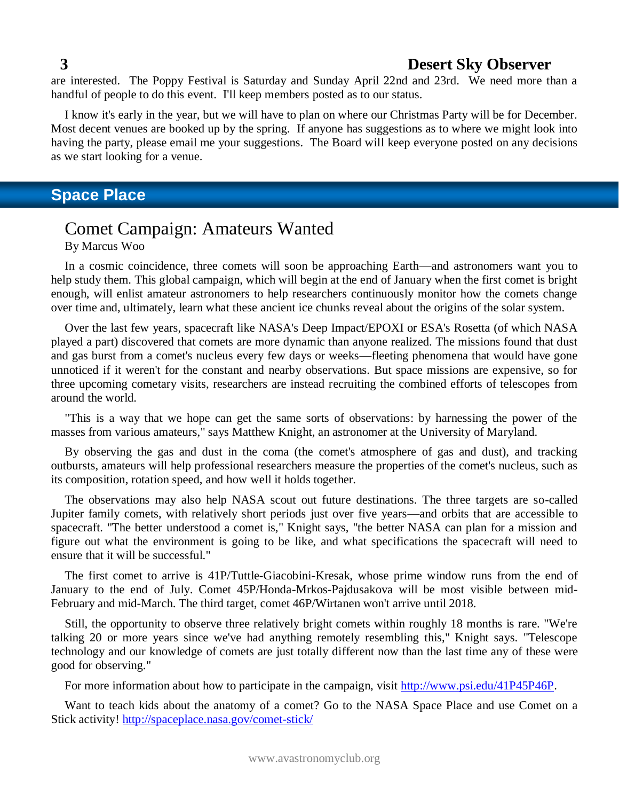are interested. The Poppy Festival is Saturday and Sunday April 22nd and 23rd. We need more than a handful of people to do this event. I'll keep members posted as to our status.

I know it's early in the year, but we will have to plan on where our Christmas Party will be for December. Most decent venues are booked up by the spring. If anyone has suggestions as to where we might look into having the party, please email me your suggestions. The Board will keep everyone posted on any decisions as we start looking for a venue.

# **Space Place**

# Comet Campaign: Amateurs Wanted

By Marcus Woo

In a cosmic coincidence, three comets will soon be approaching Earth—and astronomers want you to help study them. This global campaign, which will begin at the end of January when the first comet is bright enough, will enlist amateur astronomers to help researchers continuously monitor how the comets change over time and, ultimately, learn what these ancient ice chunks reveal about the origins of the solar system.

Over the last few years, spacecraft like NASA's Deep Impact/EPOXI or ESA's Rosetta (of which NASA played a part) discovered that comets are more dynamic than anyone realized. The missions found that dust and gas burst from a comet's nucleus every few days or weeks—fleeting phenomena that would have gone unnoticed if it weren't for the constant and nearby observations. But space missions are expensive, so for three upcoming cometary visits, researchers are instead recruiting the combined efforts of telescopes from around the world.

"This is a way that we hope can get the same sorts of observations: by harnessing the power of the masses from various amateurs," says Matthew Knight, an astronomer at the University of Maryland.

By observing the gas and dust in the coma (the comet's atmosphere of gas and dust), and tracking outbursts, amateurs will help professional researchers measure the properties of the comet's nucleus, such as its composition, rotation speed, and how well it holds together.

The observations may also help NASA scout out future destinations. The three targets are so-called Jupiter family comets, with relatively short periods just over five years—and orbits that are accessible to spacecraft. "The better understood a comet is," Knight says, "the better NASA can plan for a mission and figure out what the environment is going to be like, and what specifications the spacecraft will need to ensure that it will be successful."

The first comet to arrive is 41P/Tuttle-Giacobini-Kresak, whose prime window runs from the end of January to the end of July. Comet 45P/Honda-Mrkos-Pajdusakova will be most visible between mid-February and mid-March. The third target, comet 46P/Wirtanen won't arrive until 2018.

Still, the opportunity to observe three relatively bright comets within roughly 18 months is rare. "We're talking 20 or more years since we've had anything remotely resembling this," Knight says. "Telescope technology and our knowledge of comets are just totally different now than the last time any of these were good for observing."

For more information about how to participate in the campaign, visit [http://www.psi.edu/41P45P46P.](http://www.psi.edu/41P45P46P)

Want to teach kids about the anatomy of a comet? Go to the NASA Space Place and use Comet on a Stick activity!<http://spaceplace.nasa.gov/comet-stick/>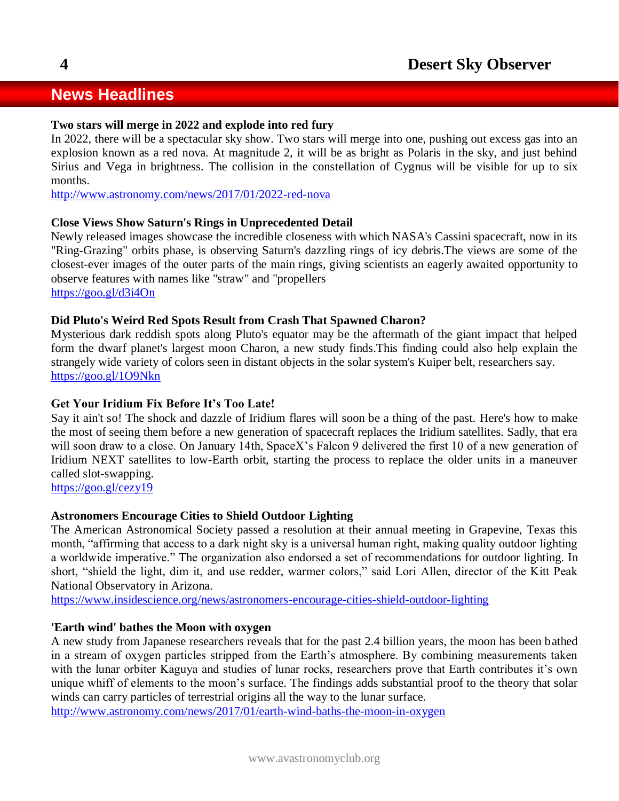# **News Headlines**

#### **Two stars will merge in 2022 and explode into red fury**

In 2022, there will be a spectacular sky show. Two stars will merge into one, pushing out excess gas into an explosion known as a red nova. At magnitude 2, it will be as bright as Polaris in the sky, and just behind Sirius and Vega in brightness. The collision in the constellation of Cygnus will be visible for up to six months.

<http://www.astronomy.com/news/2017/01/2022-red-nova>

#### **Close Views Show Saturn's Rings in Unprecedented Detail**

Newly released images showcase the incredible closeness with which NASA's Cassini spacecraft, now in its "Ring-Grazing" orbits phase, is observing Saturn's dazzling rings of icy debris.The views are some of the closest-ever images of the outer parts of the main rings, giving scientists an eagerly awaited opportunity to observe features with names like "straw" and "propellers

<https://goo.gl/d3i4On>

#### **Did Pluto's Weird Red Spots Result from Crash That Spawned Charon?**

Mysterious dark reddish spots along Pluto's equator may be the aftermath of the giant impact that helped form the dwarf planet's largest moon Charon, a new study finds.This finding could also help explain the strangely wide variety of colors seen in distant objects in the solar system's Kuiper belt, researchers say. <https://goo.gl/1O9Nkn>

#### **Get Your Iridium Fix Before It's Too Late!**

Say it ain't so! The shock and dazzle of Iridium flares will soon be a thing of the past. Here's how to make the most of seeing them before a new generation of spacecraft replaces the Iridium satellites. Sadly, that era will soon draw to a close. On January 14th, SpaceX's Falcon 9 delivered the first 10 of a new generation of Iridium NEXT satellites to low-Earth orbit, starting the process to replace the older units in a maneuver called slot-swapping.

<https://goo.gl/cezy19>

#### **Astronomers Encourage Cities to Shield Outdoor Lighting**

The American Astronomical Society passed a resolution at their annual meeting in Grapevine, Texas this month, "affirming that access to a dark night sky is a universal human right, making quality outdoor lighting a worldwide imperative." The organization also endorsed a set of recommendations for outdoor lighting. In short, "shield the light, dim it, and use redder, warmer colors," said Lori Allen, director of the Kitt Peak National Observatory in Arizona.

<https://www.insidescience.org/news/astronomers-encourage-cities-shield-outdoor-lighting>

#### **'Earth wind' bathes the Moon with oxygen**

A new study from Japanese researchers reveals that for the past 2.4 billion years, the moon has been bathed in a stream of oxygen particles stripped from the Earth's atmosphere. By combining measurements taken with the lunar orbiter Kaguya and studies of lunar rocks, researchers prove that Earth contributes it's own unique whiff of elements to the moon's surface. The findings adds substantial proof to the theory that solar winds can carry particles of terrestrial origins all the way to the lunar surface.

<http://www.astronomy.com/news/2017/01/earth-wind-baths-the-moon-in-oxygen>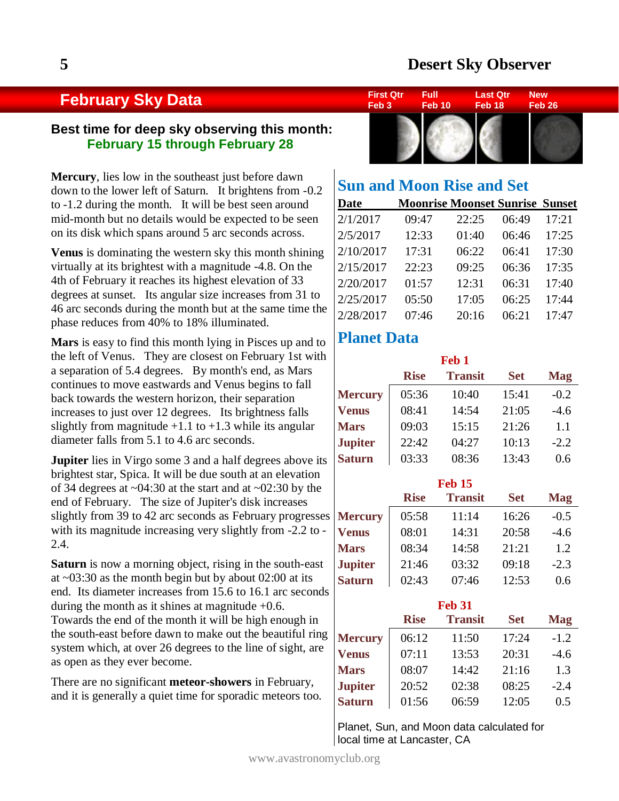## **February Sky Data**

#### **Best time for deep sky observing this month: February 15 through February 28**

**Mercury**, lies low in the southeast just before dawn down to the lower left of Saturn. It brightens from -0.2 to -1.2 during the month. It will be best seen around mid-month but no details would be expected to be seen on its disk which spans around 5 arc seconds across.

**Venus** is dominating the western sky this month shining virtually at its brightest with a magnitude -4.8. On the 4th of February it reaches its highest elevation of 33 degrees at sunset. Its angular size increases from 31 to 46 arc seconds during the month but at the same time the phase reduces from 40% to 18% illuminated.

**Mars** is easy to find this month lying in Pisces up and to the left of Venus. They are closest on February 1st with a separation of 5.4 degrees. By month's end, as Mars continues to move eastwards and Venus begins to fall back towards the western horizon, their separation increases to just over 12 degrees. Its brightness falls slightly from magnitude  $+1.1$  to  $+1.3$  while its angular diameter falls from 5.1 to 4.6 arc seconds.

**Jupiter** lies in Virgo some 3 and a half degrees above its brightest star, Spica. It will be due south at an elevation of 34 degrees at  $\sim 04:30$  at the start and at  $\sim 02:30$  by the end of February. The size of Jupiter's disk increases slightly from 39 to 42 arc seconds as February progresses with its magnitude increasing very slightly from -2.2 to - 2.4.

**Saturn** is now a morning object, rising in the south-east at ~03:30 as the month begin but by about 02:00 at its end. Its diameter increases from 15.6 to 16.1 arc seconds during the month as it shines at magnitude  $+0.6$ . Towards the end of the month it will be high enough in the south-east before dawn to make out the beautiful ring system which, at over 26 degrees to the line of sight, are as open as they ever become.

There are no significant **meteor-showers** in February, and it is generally a quiet time for sporadic meteors too.



# **Sun and Moon Rise and Set**

| <b>Date</b> | <b>Moonrise Moonset Sunrise Sunset</b> |       |       |       |
|-------------|----------------------------------------|-------|-------|-------|
| 2/1/2017    | 09:47                                  | 22:25 | 06:49 | 17:21 |
| 2/5/2017    | 12:33                                  | 01:40 | 06:46 | 17:25 |
| 2/10/2017   | 17:31                                  | 06:22 | 06:41 | 17:30 |
| 2/15/2017   | 22:23                                  | 09:25 | 06:36 | 17:35 |
| 2/20/2017   | 01:57                                  | 12:31 | 06:31 | 17:40 |
| 2/25/2017   | 05:50                                  | 17:05 | 06:25 | 17:44 |
| 2/28/2017   | 07:46                                  | 20:16 | 06:21 | 17:47 |

# **Planet Data**

|                |             | Feb <sub>1</sub> |            |            |
|----------------|-------------|------------------|------------|------------|
|                | <b>Rise</b> | <b>Transit</b>   | <b>Set</b> | <b>Mag</b> |
| <b>Mercury</b> | 05:36       | 10:40            | 15:41      | $-0.2$     |
| <b>Venus</b>   | 08:41       | 14:54            | 21:05      | $-4.6$     |
| <b>Mars</b>    | 09:03       | 15:15            | 21:26      | 1.1        |
| <b>Jupiter</b> | 22:42       | 04:27            | 10:13      | $-2.2$     |
| <b>Saturn</b>  | 03:33       | 08:36            | 13:43      | 0.6        |

|                |             | <b>Feb 15</b>  |            |            |
|----------------|-------------|----------------|------------|------------|
|                | <b>Rise</b> | <b>Transit</b> | <b>Set</b> | <b>Mag</b> |
| <b>Mercury</b> | 05:58       | 11:14          | 16:26      | $-0.5$     |
| <b>Venus</b>   | 08:01       | 14:31          | 20:58      | $-4.6$     |
| <b>Mars</b>    | 08:34       | 14:58          | 21:21      | 1.2        |
| <b>Jupiter</b> | 21:46       | 03:32          | 09:18      | $-2.3$     |
| <b>Saturn</b>  | 02:43       | 07:46          | 12:53      | 0.6        |

| <b>Feb 31</b>  |             |                |            |            |  |  |  |
|----------------|-------------|----------------|------------|------------|--|--|--|
|                | <b>Rise</b> | <b>Transit</b> | <b>Set</b> | <b>Mag</b> |  |  |  |
| <b>Mercury</b> | 06:12       | 11:50          | 17:24      | $-1.2$     |  |  |  |
| <b>Venus</b>   | 07:11       | 13:53          | 20:31      | $-4.6$     |  |  |  |
| <b>Mars</b>    | 08:07       | 14:42          | 21:16      | 1.3        |  |  |  |
| <b>Jupiter</b> | 20:52       | 02:38          | 08:25      | $-2.4$     |  |  |  |
| <b>Saturn</b>  | 01:56       | 06:59          | 12:05      | 0.5        |  |  |  |

Planet, Sun, and Moon data calculated for local time at Lancaster, CA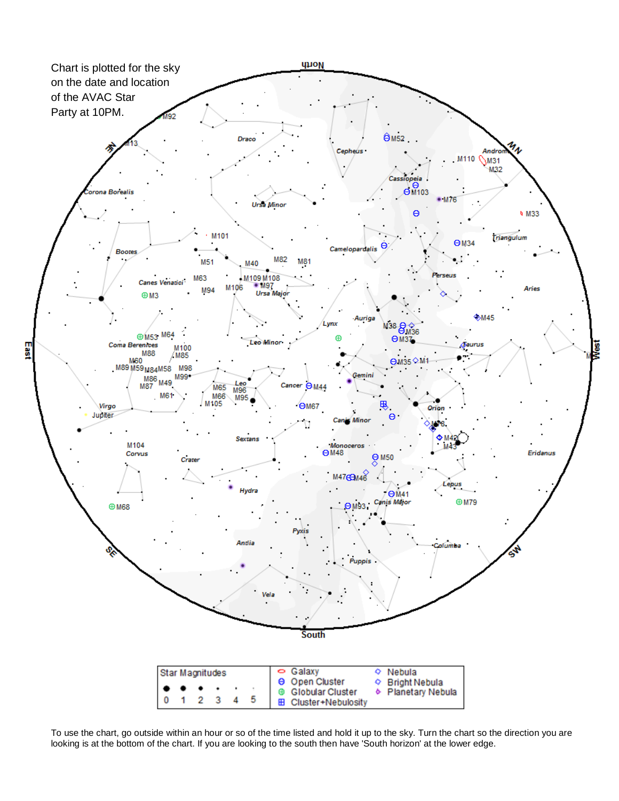

To use the chart, go outside within an hour or so of the time listed and hold it up to the sky. Turn the chart so the direction you are looking is at the bottom of the chart. If you are looking to the south then have 'South horizon' at the lower edge.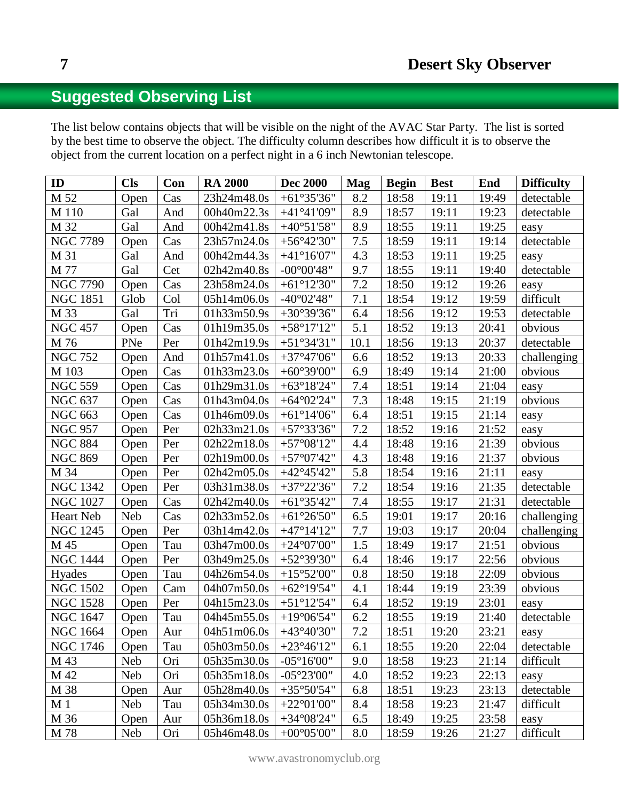# **Suggested Observing List**

The list below contains objects that will be visible on the night of the AVAC Star Party. The list is sorted by the best time to observe the object. The difficulty column describes how difficult it is to observe the object from the current location on a perfect night in a 6 inch Newtonian telescope.

| ID              | <b>Cls</b> | Con | <b>RA 2000</b> | <b>Dec 2000</b>      | <b>Mag</b> | <b>Begin</b> | <b>Best</b> | <b>End</b> | <b>Difficulty</b> |
|-----------------|------------|-----|----------------|----------------------|------------|--------------|-------------|------------|-------------------|
| M 52            | Open       | Cas | 23h24m48.0s    | $+61°35'36"$         | 8.2        | 18:58        | 19:11       | 19:49      | detectable        |
| M 110           | Gal        | And | 00h40m22.3s    | $+41^{\circ}41'09''$ | 8.9        | 18:57        | 19:11       | 19:23      | detectable        |
| M 32            | Gal        | And | 00h42m41.8s    | $+40^{\circ}51'58"$  | 8.9        | 18:55        | 19:11       | 19:25      | easy              |
| <b>NGC 7789</b> | Open       | Cas | 23h57m24.0s    | $+56^{\circ}42'30''$ | 7.5        | 18:59        | 19:11       | 19:14      | detectable        |
| M 31            | Gal        | And | 00h42m44.3s    | $+41^{\circ}16'07"$  | 4.3        | 18:53        | 19:11       | 19:25      | easy              |
| M 77            | Gal        | Cet | 02h42m40.8s    | $-00^{\circ}00'48"$  | 9.7        | 18:55        | 19:11       | 19:40      | detectable        |
| <b>NGC 7790</b> | Open       | Cas | 23h58m24.0s    | $+61^{\circ}12'30"$  | 7.2        | 18:50        | 19:12       | 19:26      | easy              |
| <b>NGC 1851</b> | Glob       | Col | 05h14m06.0s    | $-40^{\circ}02'48''$ | 7.1        | 18:54        | 19:12       | 19:59      | difficult         |
| M 33            | Gal        | Tri | 01h33m50.9s    | $+30^{\circ}39'36"$  | 6.4        | 18:56        | 19:12       | 19:53      | detectable        |
| <b>NGC 457</b>  | Open       | Cas | 01h19m35.0s    | $+58^{\circ}17'12"$  | 5.1        | 18:52        | 19:13       | 20:41      | obvious           |
| M 76            | PNe        | Per | 01h42m19.9s    | $+51^{\circ}34'31"$  | 10.1       | 18:56        | 19:13       | 20:37      | detectable        |
| <b>NGC 752</b>  | Open       | And | 01h57m41.0s    | $+37^{\circ}47'06"$  | 6.6        | 18:52        | 19:13       | 20:33      | challenging       |
| M 103           | Open       | Cas | 01h33m23.0s    | $+60^{\circ}39'00"$  | 6.9        | 18:49        | 19:14       | 21:00      | obvious           |
| <b>NGC 559</b>  | Open       | Cas | 01h29m31.0s    | $+63^{\circ}18'24"$  | 7.4        | 18:51        | 19:14       | 21:04      | easy              |
| <b>NGC 637</b>  | Open       | Cas | 01h43m04.0s    | $+64^{\circ}02'24"$  | 7.3        | 18:48        | 19:15       | 21:19      | obvious           |
| <b>NGC 663</b>  | Open       | Cas | 01h46m09.0s    | $+61^{\circ}14'06"$  | 6.4        | 18:51        | 19:15       | 21:14      | easy              |
| <b>NGC 957</b>  | Open       | Per | 02h33m21.0s    | $+57°33'36"$         | 7.2        | 18:52        | 19:16       | 21:52      | easy              |
| <b>NGC 884</b>  | Open       | Per | 02h22m18.0s    | $+57^{\circ}08'12"$  | 4.4        | 18:48        | 19:16       | 21:39      | obvious           |
| <b>NGC 869</b>  | Open       | Per | 02h19m00.0s    | $+57^{\circ}07'42"$  | 4.3        | 18:48        | 19:16       | 21:37      | obvious           |
| M 34            | Open       | Per | 02h42m05.0s    | $+42^{\circ}45'42"$  | 5.8        | 18:54        | 19:16       | 21:11      | easy              |
| <b>NGC 1342</b> | Open       | Per | 03h31m38.0s    | $+37^{\circ}22'36"$  | 7.2        | 18:54        | 19:16       | 21:35      | detectable        |
| <b>NGC 1027</b> | Open       | Cas | 02h42m40.0s    | $+61°35'42"$         | 7.4        | 18:55        | 19:17       | 21:31      | detectable        |
| Heart Neb       | Neb        | Cas | 02h33m52.0s    | $+61^{\circ}26'50"$  | 6.5        | 19:01        | 19:17       | 20:16      | challenging       |
| <b>NGC 1245</b> | Open       | Per | 03h14m42.0s    | $+47^{\circ}14'12"$  | 7.7        | 19:03        | 19:17       | 20:04      | challenging       |
| M 45            | Open       | Tau | 03h47m00.0s    | $+24^{\circ}07'00"$  | 1.5        | 18:49        | 19:17       | 21:51      | obvious           |
| <b>NGC 1444</b> | Open       | Per | 03h49m25.0s    | $+52^{\circ}39'30"$  | 6.4        | 18:46        | 19:17       | 22:56      | obvious           |
| Hyades          | Open       | Tau | 04h26m54.0s    | $+15^{\circ}52'00''$ | 0.8        | 18:50        | 19:18       | 22:09      | obvious           |
| <b>NGC 1502</b> | Open       | Cam | 04h07m50.0s    | $+62^{\circ}19'54"$  | 4.1        | 18:44        | 19:19       | 23:39      | obvious           |
| <b>NGC 1528</b> | Open       | Per | 04h15m23.0s    | $+51^{\circ}12'54"$  | 6.4        | 18:52        | 19:19       | 23:01      | easy              |
| <b>NGC 1647</b> | Open       | Tau | 04h45m55.0s    | $+19^{\circ}06'54"$  | 6.2        | 18:55        | 19:19       | 21:40      | detectable        |
| <b>NGC 1664</b> | Open       | Aur | 04h51m06.0s    | $+43^{\circ}40'30"$  | 7.2        | 18:51        | 19:20       | 23:21      | easy              |
| <b>NGC 1746</b> | Open       | Tau | 05h03m50.0s    | $+23^{\circ}46'12"$  | 6.1        | 18:55        | 19:20       | 22:04      | detectable        |
| M 43            | <b>Neb</b> | Ori | 05h35m30.0s    | $-05^{\circ}16'00''$ | 9.0        | 18:58        | 19:23       | 21:14      | difficult         |
| M 42            | Neb        | Ori | 05h35m18.0s    | $-05^{\circ}23'00''$ | 4.0        | 18:52        | 19:23       | 22:13      | easy              |
| M 38            | Open       | Aur | 05h28m40.0s    | $+35^{\circ}50'54"$  | 6.8        | 18:51        | 19:23       | 23:13      | detectable        |
| M <sub>1</sub>  | <b>Neb</b> | Tau | 05h34m30.0s    | $+22^{\circ}01'00''$ | 8.4        | 18:58        | 19:23       | 21:47      | difficult         |
| M 36            | Open       | Aur | 05h36m18.0s    | $+34^{\circ}08'24"$  | 6.5        | 18:49        | 19:25       | 23:58      | easy              |
| M 78            | <b>Neb</b> | Ori | 05h46m48.0s    | $+00^{\circ}05'00"$  | 8.0        | 18:59        | 19:26       | 21:27      | difficult         |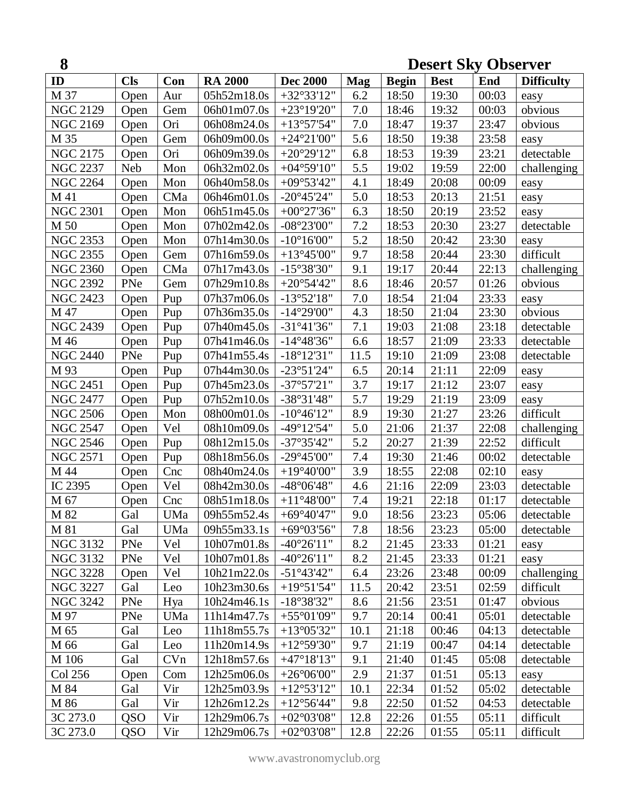| 8<br><b>Desert Sky Observer</b> |            |                      |                |                                           |            |              |             |       |                   |
|---------------------------------|------------|----------------------|----------------|-------------------------------------------|------------|--------------|-------------|-------|-------------------|
| ID                              | <b>Cls</b> | Con                  | <b>RA 2000</b> | <b>Dec 2000</b>                           | <b>Mag</b> | <b>Begin</b> | <b>Best</b> | End   | <b>Difficulty</b> |
| M 37                            | Open       | Aur                  | 05h52m18.0s    | $+32^{\circ}33'12"$                       | 6.2        | 18:50        | 19:30       | 00:03 | easy              |
| <b>NGC 2129</b>                 | Open       | Gem                  | 06h01m07.0s    | $+23^{\circ}19'20"$                       | 7.0        | 18:46        | 19:32       | 00:03 | obvious           |
| <b>NGC 2169</b>                 | Open       | Ori                  | 06h08m24.0s    | $+13°57'54"$                              | 7.0        | 18:47        | 19:37       | 23:47 | obvious           |
| M 35                            | Open       | Gem                  | 06h09m00.0s    | $+24^{\circ}21'00''$                      | 5.6        | 18:50        | 19:38       | 23:58 | easy              |
| <b>NGC 2175</b>                 | Open       | Ori                  | 06h09m39.0s    | $+20^{\circ}29'12"$                       | 6.8        | 18:53        | 19:39       | 23:21 | detectable        |
| <b>NGC 2237</b>                 | <b>Neb</b> | Mon                  | 06h32m02.0s    | $+04^{\circ}59'10"$                       | 5.5        | 19:02        | 19:59       | 22:00 | challenging       |
| <b>NGC 2264</b>                 | Open       | Mon                  | 06h40m58.0s    | $+09^{\circ}53'42"$                       | 4.1        | 18:49        | 20:08       | 00:09 | easy              |
| M 41                            | Open       | CMa                  | 06h46m01.0s    | $-20^{\circ}45'24"$                       | 5.0        | 18:53        | 20:13       | 21:51 | easy              |
| <b>NGC 2301</b>                 | Open       | $\operatorname{Mon}$ | 06h51m45.0s    | $+00^{\circ}27'36''$                      | 6.3        | 18:50        | 20:19       | 23:52 | easy              |
| M 50                            | Open       | Mon                  | 07h02m42.0s    | $-08^{\circ}23'00"$                       | 7.2        | 18:53        | 20:30       | 23:27 | detectable        |
| <b>NGC 2353</b>                 | Open       | Mon                  | 07h14m30.0s    | $-10^{\circ}16'00''$                      | 5.2        | 18:50        | 20:42       | 23:30 | easy              |
| <b>NGC 2355</b>                 | Open       | Gem                  | 07h16m59.0s    | $+13^{\circ}45'00''$                      | 9.7        | 18:58        | 20:44       | 23:30 | difficult         |
| <b>NGC 2360</b>                 | Open       | CMa                  | 07h17m43.0s    | $-15^{\circ}38'30"$                       | 9.1        | 19:17        | 20:44       | 22:13 | challenging       |
| <b>NGC 2392</b>                 | PNe        | Gem                  | 07h29m10.8s    | $+20^{\circ}54'42"$                       | 8.6        | 18:46        | 20:57       | 01:26 | obvious           |
| <b>NGC 2423</b>                 | Open       | Pup                  | 07h37m06.0s    | $-13°52'18"$                              | 7.0        | 18:54        | 21:04       | 23:33 | easy              |
| M 47                            | Open       | Pup                  | 07h36m35.0s    | $-14^{\circ}29'00"$                       | 4.3        | 18:50        | 21:04       | 23:30 | obvious           |
| <b>NGC 2439</b>                 | Open       | Pup                  | 07h40m45.0s    | $-31^{\circ}41'36"$                       | 7.1        | 19:03        | 21:08       | 23:18 | detectable        |
| M 46                            | Open       | Pup                  | 07h41m46.0s    | $-14^{\circ}48'36"$                       | 6.6        | 18:57        | 21:09       | 23:33 | detectable        |
| <b>NGC 2440</b>                 | PNe        | Pup                  | 07h41m55.4s    | $-18^{\circ}12'31''$                      | 11.5       | 19:10        | 21:09       | 23:08 | detectable        |
| M 93                            | Open       | Pup                  | 07h44m30.0s    | $-23°51'24"$                              | 6.5        | 20:14        | 21:11       | 22:09 | easy              |
| <b>NGC 2451</b>                 | Open       | Pup                  | 07h45m23.0s    | $-37^{\circ}57'21"$                       | 3.7        | 19:17        | 21:12       | 23:07 | easy              |
| <b>NGC 2477</b>                 | Open       | Pup                  | 07h52m10.0s    | $-38°31'48"$                              | 5.7        | 19:29        | 21:19       | 23:09 | easy              |
| <b>NGC 2506</b>                 | Open       | Mon                  | 08h00m01.0s    | $-10^{\circ}46'12"$                       | 8.9        | 19:30        | 21:27       | 23:26 | difficult         |
| <b>NGC 2547</b>                 | Open       | Vel                  | 08h10m09.0s    | $-49^{\circ}12'54"$                       | 5.0        | 21:06        | 21:37       | 22:08 | challenging       |
| <b>NGC 2546</b>                 | Open       | Pup                  | 08h12m15.0s    | $-37^{\circ}35'42"$                       | 5.2        | 20:27        | 21:39       | 22:52 | difficult         |
| <b>NGC 2571</b>                 | Open       | Pup                  | 08h18m56.0s    | -29°45'00"                                | 7.4        | 19:30        | 21:46       | 00:02 | detectable        |
| M 44                            | Open       | Cnc                  | 08h40m24.0s    | $+19^{\circ}40'00"$                       | 3.9        | 18:55        | 22:08       | 02:10 | easy              |
| IC 2395                         | Open       | Vel                  | 08h42m30.0s    | $-48^{\circ}06'48"$                       | 4.6        | 21:16        | 22:09       | 23:03 | detectable        |
| M 67                            | Open       | Cnc                  | 08h51m18.0s    | $+11^{\circ}48^{\prime}00^{\prime\prime}$ | $7.4\,$    | 19:21        | 22:18       | 01:17 | detectable        |
| M 82                            | Gal        | UMa                  | 09h55m52.4s    | $+69^{\circ}40'47"$                       | 9.0        | 18:56        | 23:23       | 05:06 | detectable        |
| M 81                            | Gal        | UMa                  | 09h55m33.1s    | $+69^{\circ}03'56"$                       | 7.8        | 18:56        | 23:23       | 05:00 | detectable        |
| <b>NGC 3132</b>                 | PNe        | Vel                  | 10h07m01.8s    | $-40^{\circ}26'11''$                      | 8.2        | 21:45        | 23:33       | 01:21 | easy              |
| <b>NGC 3132</b>                 | PNe        | Vel                  | 10h07m01.8s    | $-40^{\circ}26'11''$                      | 8.2        | 21:45        | 23:33       | 01:21 | easy              |
| <b>NGC 3228</b>                 | Open       | Vel                  | 10h21m22.0s    | $-51^{\circ}43'42"$                       | 6.4        | 23:26        | 23:48       | 00:09 | challenging       |
| <b>NGC 3227</b>                 | Gal        | Leo                  | 10h23m30.6s    | $+19°51'54"$                              | 11.5       | 20:42        | 23:51       | 02:59 | difficult         |
| <b>NGC 3242</b>                 | PNe        | Hya                  | 10h24m46.1s    | $-18°38'32"$                              | 8.6        | 21:56        | 23:51       | 01:47 | obvious           |
| M 97                            | PNe        | UMa                  | 11h14m47.7s    | $+55^{\circ}01'09''$                      | 9.7        | 20:14        | 00:41       | 05:01 | detectable        |
| M 65                            | Gal        | Leo                  | 11h18m55.7s    | $+13^{\circ}05'32"$                       | 10.1       | 21:18        | 00:46       | 04:13 | detectable        |
| M 66                            | Gal        | Leo                  | 11h20m14.9s    | $+12^{\circ}59'30"$                       | 9.7        | 21:19        | 00:47       | 04:14 | detectable        |
| M 106                           | Gal        | CVn                  | 12h18m57.6s    | $+47^{\circ}18'13"$                       | 9.1        | 21:40        | 01:45       | 05:08 | detectable        |
| Col 256                         | Open       | Com                  | 12h25m06.0s    | $+26^{\circ}06'00"$                       | 2.9        | 21:37        | 01:51       | 05:13 | easy              |
| M 84                            | Gal        | Vir                  | 12h25m03.9s    | $+12^{\circ}53'12"$                       | 10.1       | 22:34        | 01:52       | 05:02 | detectable        |
| M 86                            | Gal        | Vir                  | 12h26m12.2s    | $+12^{\circ}56'44"$                       | 9.8        | 22:50        | 01:52       | 04:53 | detectable        |
| 3C 273.0                        | <b>QSO</b> | Vir                  | 12h29m06.7s    | $+02^{\circ}03'08"$                       | 12.8       | 22:26        | 01:55       | 05:11 | difficult         |
| 3C 273.0                        | <b>QSO</b> | Vir                  | 12h29m06.7s    | $+02^{\circ}03'08"$                       | 12.8       | 22:26        | 01:55       | 05:11 | difficult         |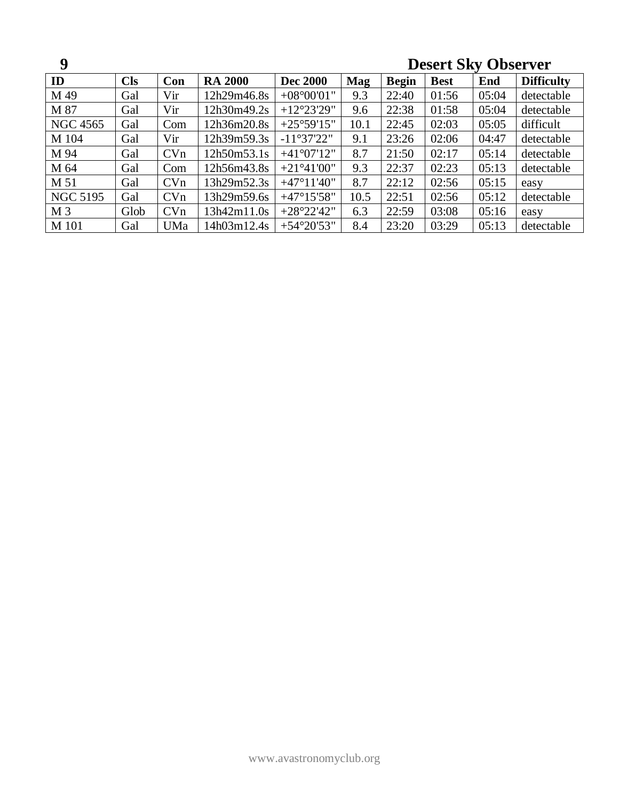| 9               |            |     |                |                      |            |              | <b>Desert Sky Observer</b> |       |                   |  |
|-----------------|------------|-----|----------------|----------------------|------------|--------------|----------------------------|-------|-------------------|--|
| ID              | <b>Cls</b> | Con | <b>RA 2000</b> | <b>Dec 2000</b>      | <b>Mag</b> | <b>Begin</b> | <b>Best</b>                | End   | <b>Difficulty</b> |  |
| M 49            | Gal        | Vir | 12h29m46.8s    | $+08^{\circ}00'01"$  | 9.3        | 22:40        | 01:56                      | 05:04 | detectable        |  |
| M 87            | Gal        | Vir | 12h30m49.2s    | $+12^{\circ}23'29''$ | 9.6        | 22:38        | 01:58                      | 05:04 | detectable        |  |
| <b>NGC 4565</b> | Gal        | Com | 12h36m20.8s    | $+25^{\circ}59'15"$  | 10.1       | 22:45        | 02:03                      | 05:05 | difficult         |  |
| M 104           | Gal        | Vir | 12h39m59.3s    | $-11°37'22"$         | 9.1        | 23:26        | 02:06                      | 04:47 | detectable        |  |
| M 94            | Gal        | CVn | 12h50m53.1s    | $+41^{\circ}07'12"$  | 8.7        | 21:50        | 02:17                      | 05:14 | detectable        |  |
| M 64            | Gal        | Com | 12h56m43.8s    | $+21^{\circ}41'00''$ | 9.3        | 22:37        | 02:23                      | 05:13 | detectable        |  |
| M 51            | Gal        | CVn | 13h29m52.3s    | $+47^{\circ}11'40''$ | 8.7        | 22:12        | 02:56                      | 05:15 | easy              |  |
| <b>NGC 5195</b> | Gal        | CVn | 13h29m59.6s    | $+47^{\circ}15'58"$  | 10.5       | 22:51        | 02:56                      | 05:12 | detectable        |  |
| M <sub>3</sub>  | Glob       | CVn | 13h42m11.0s    | $+28°22'42"$         | 6.3        | 22:59        | 03:08                      | 05:16 | easy              |  |
| M 101           | Gal        | UMa | 14h03m12.4s    | $+54^{\circ}20'53"$  | 8.4        | 23:20        | 03:29                      | 05:13 | detectable        |  |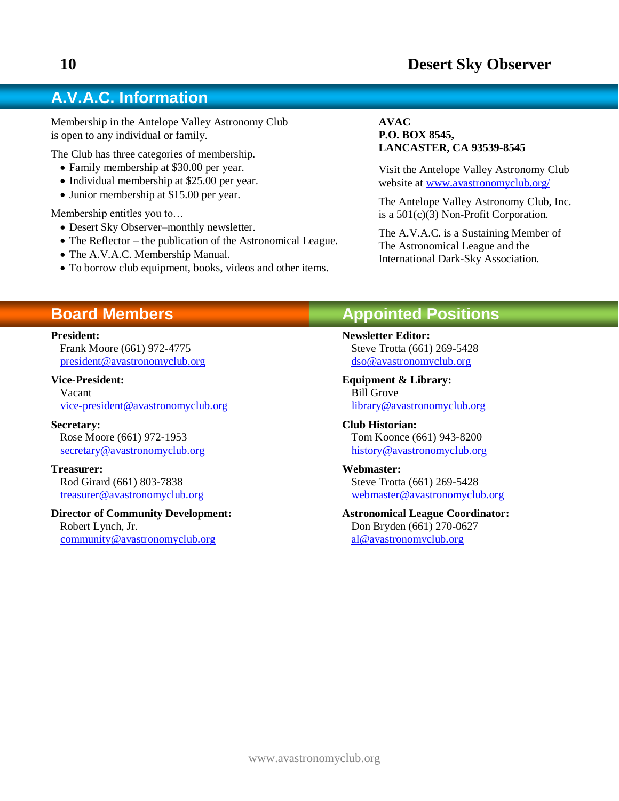# **A.V.A.C. Information**

Membership in the Antelope Valley Astronomy Club is open to any individual or family.

The Club has three categories of membership.

- Family membership at \$30.00 per year.
- Individual membership at \$25.00 per year.
- Junior membership at \$15.00 per year.

Membership entitles you to…

- Desert Sky Observer–monthly newsletter.
- The Reflector the publication of the Astronomical League.
- The A.V.A.C. Membership Manual.
- To borrow club equipment, books, videos and other items.

#### **AVAC P.O. BOX 8545, LANCASTER, CA 93539-8545**

Visit the Antelope Valley Astronomy Club website at [www.avastronomyclub.org/](http://www.avastronomyclub.org/)

The Antelope Valley Astronomy Club, Inc. is a 501(c)(3) Non-Profit Corporation.

The A.V.A.C. is a Sustaining Member of The Astronomical League and the International Dark-Sky Association.

# **Board Members**

#### **President:**

Frank Moore (661) 972-4775 [president@avastronomyclub.org](mailto:president@avastronomyclub.org)

#### **Vice-President:**

Vacant [vice-president@avastronomyclub.org](mailto:vice-president@avastronomyclub.org)

**Secretary:** Rose Moore (661) 972-1953 [secretary@avastronomyclub.org](mailto:secretary@avastronomyclub.org)

**Treasurer:** Rod Girard (661) 803-7838 [treasurer@avastronomyclub.org](mailto:treasurer@avastronomyclub.org)

**Director of Community Development:** Robert Lynch, Jr. [community@avastronomyclub.org](mailto:community@avastronomyclub.org)

## **Appointed Positions**

**Newsletter Editor:** Steve Trotta (661) 269-5428 [dso@avastronomyclub.org](mailto:dso@avastronomyclub.org)

**Equipment & Library:** Bill Grove [library@avastronomyclub.org](mailto:library@avastronomyclub.org)

**Club Historian:** Tom Koonce (661) 943-8200 [history@avastronomyclub.org](mailto:history@avastronomyclub.org)

**Webmaster:** Steve Trotta (661) 269-5428 [webmaster@avastronomyclub.org](mailto:webmaster@avastronomyclub.org)

#### **Astronomical League Coordinator:** Don Bryden (661) 270-0627 [al@avastronomyclub.org](mailto:al@avastronomyclub.org)